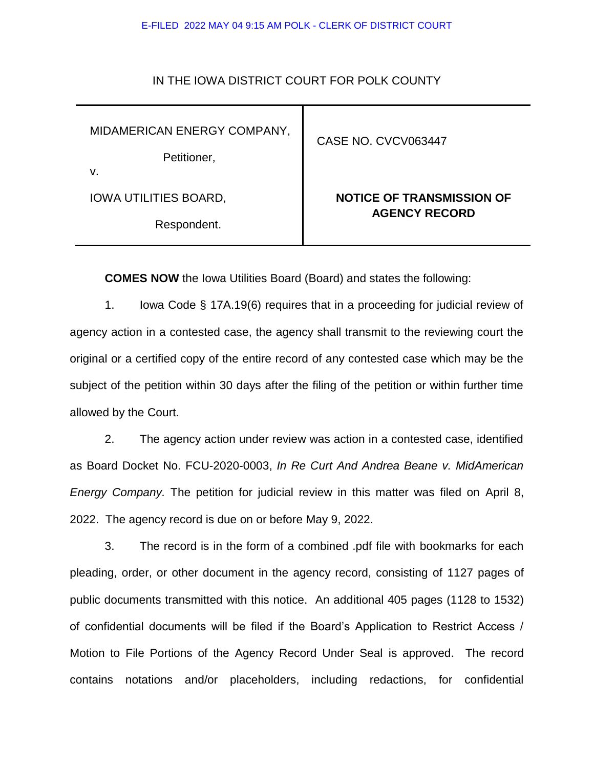## E-FILED 2022 MAY 04 9:15 AM POLK - CLERK OF DISTRICT COURT

## IN THE IOWA DISTRICT COURT FOR POLK COUNTY

MIDAMERICAN ENERGY COMPANY,

Petitioner,

v.

IOWA UTILITIES BOARD,

Respondent.

## CASE NO. CVCV063447

## **NOTICE OF TRANSMISSION OF AGENCY RECORD**

**COMES NOW** the Iowa Utilities Board (Board) and states the following:

1. Iowa Code § 17A.19(6) requires that in a proceeding for judicial review of agency action in a contested case, the agency shall transmit to the reviewing court the original or a certified copy of the entire record of any contested case which may be the subject of the petition within 30 days after the filing of the petition or within further time allowed by the Court.

2. The agency action under review was action in a contested case, identified as Board Docket No. FCU-2020-0003, *In Re Curt And Andrea Beane v. MidAmerican Energy Company.* The petition for judicial review in this matter was filed on April 8, 2022. The agency record is due on or before May 9, 2022.

3. The record is in the form of a combined .pdf file with bookmarks for each pleading, order, or other document in the agency record, consisting of 1127 pages of public documents transmitted with this notice. An additional 405 pages (1128 to 1532) of confidential documents will be filed if the Board's Application to Restrict Access / Motion to File Portions of the Agency Record Under Seal is approved. The record contains notations and/or placeholders, including redactions, for confidential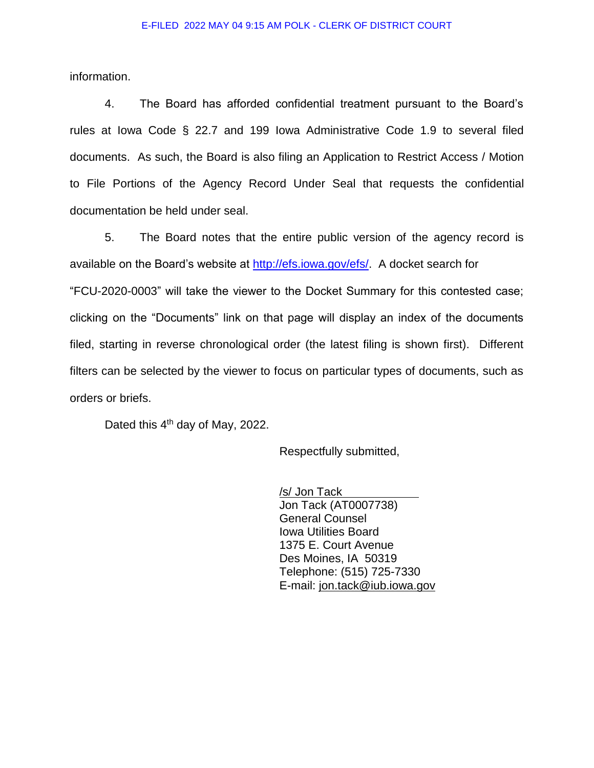information.

4. The Board has afforded confidential treatment pursuant to the Board's rules at Iowa Code § 22.7 and 199 Iowa Administrative Code 1.9 to several filed documents. As such, the Board is also filing an Application to Restrict Access / Motion to File Portions of the Agency Record Under Seal that requests the confidential documentation be held under seal.

5. The Board notes that the entire public version of the agency record is available on the Board's website at [http://efs.iowa.gov/efs/.](http://efs.iowa.gov/efs/) A docket search for "FCU-2020-0003" will take the viewer to the Docket Summary for this contested case; clicking on the "Documents" link on that page will display an index of the documents filed, starting in reverse chronological order (the latest filing is shown first). Different filters can be selected by the viewer to focus on particular types of documents, such as orders or briefs.

Dated this 4<sup>th</sup> day of May, 2022.

Respectfully submitted,

/s/ Jon Tack Jon Tack (AT0007738) General Counsel Iowa Utilities Board 1375 E. Court Avenue Des Moines, IA 50319 Telephone: (515) 725-7330 E-mail: jon.tack@iub.iowa.gov